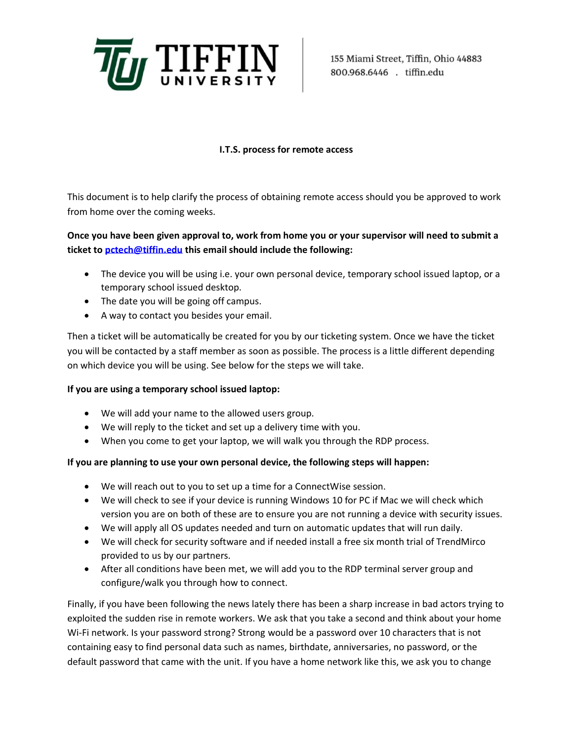

155 Miami Street, Tiffin, Ohio 44883 800.968.6446 . tiffin.edu

## **I.T.S. process for remote access**

This document is to help clarify the process of obtaining remote access should you be approved to work from home over the coming weeks.

## **Once you have been given approval to, work from home you or your supervisor will need to submit a ticket to [pctech@tiffin.edu](mailto:pctech@tiffin.edu) this email should include the following:**

- The device you will be using i.e. your own personal device, temporary school issued laptop, or a temporary school issued desktop.
- The date you will be going off campus.
- A way to contact you besides your email.

Then a ticket will be automatically be created for you by our ticketing system. Once we have the ticket you will be contacted by a staff member as soon as possible. The process is a little different depending on which device you will be using. See below for the steps we will take.

## **If you are using a temporary school issued laptop:**

- We will add your name to the allowed users group.
- We will reply to the ticket and set up a delivery time with you.
- When you come to get your laptop, we will walk you through the RDP process.

## **If you are planning to use your own personal device, the following steps will happen:**

- We will reach out to you to set up a time for a ConnectWise session.
- We will check to see if your device is running Windows 10 for PC if Mac we will check which version you are on both of these are to ensure you are not running a device with security issues.
- We will apply all OS updates needed and turn on automatic updates that will run daily.
- We will check for security software and if needed install a free six month trial of TrendMirco provided to us by our partners.
- After all conditions have been met, we will add you to the RDP terminal server group and configure/walk you through how to connect.

Finally, if you have been following the news lately there has been a sharp increase in bad actors trying to exploited the sudden rise in remote workers. We ask that you take a second and think about your home Wi-Fi network. Is your password strong? Strong would be a password over 10 characters that is not containing easy to find personal data such as names, birthdate, anniversaries, no password, or the default password that came with the unit. If you have a home network like this, we ask you to change